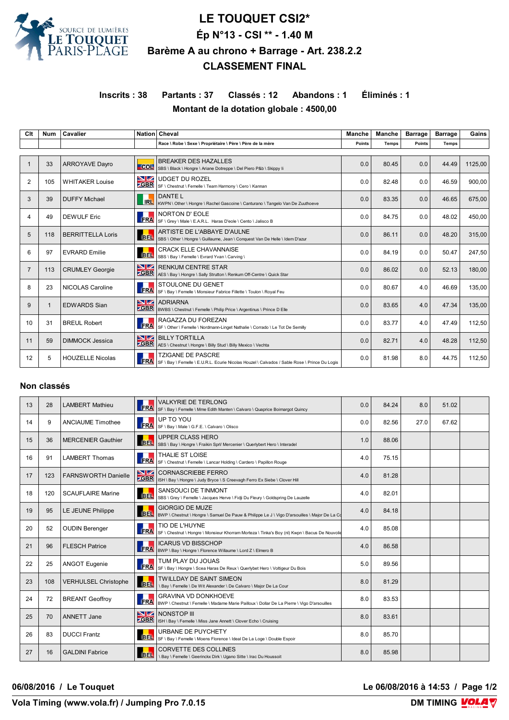

# **LE TOUQUET CSI2\* Ép N°13 - CSI \*\* - 1.40 M Barème A au chrono + Barrage - Art. 238.2.2 CLASSEMENT FINAL**

# **Inscrits : 38 Partants : 37 Classés : 12 Abandons : 1 Éliminés : 1 Montant de la dotation globale : 4500,00**

| Clt            | <b>Num</b>  | Cavalier                 |                   | Nation Cheval                                                                                                             | <b>Manche</b> | Manche       | <b>Barrage</b> | <b>Barrage</b> | Gains   |
|----------------|-------------|--------------------------|-------------------|---------------------------------------------------------------------------------------------------------------------------|---------------|--------------|----------------|----------------|---------|
|                |             |                          |                   | Race \ Robe \ Sexe \ Propriétaire \ Père \ Père de la mère                                                                | Points        | <b>Temps</b> | <b>Points</b>  | <b>Temps</b>   |         |
|                |             |                          |                   |                                                                                                                           |               |              |                |                |         |
|                | 33          | <b>ARROYAVE Dayro</b>    | $-$ COL           | <b>BREAKER DES HAZALLES</b><br>SBS \ Black \ Hongre \ Ariane Dotreppe \ Del Piero P&b \ Skippy Ii                         | 0.0           | 80.45        | 0.0            | 44.49          | 1125.00 |
| $\overline{2}$ | 105         | <b>WHITAKER Louise</b>   | NZ.               | <b>UDGET DU ROZEL</b><br>SBR SF \ Chestnut \ Femelle \ Team Harmony \ Cero \ Kannan                                       | 0.0           | 82.48        | 0.0            | 46.59          | 900,00  |
| 3              | 39          | <b>DUFFY Michael</b>     | R <sub>L</sub>    | DANTE L<br>KWPN \ Other \ Hongre \ Rachel Gascoine \ Canturano \ Tangelo Van De Zuuthoeve                                 | 0.0           | 83.35        | 0.0            | 46.65          | 675.00  |
| 4              | 49          | <b>DEWULF Eric</b>       | <b>FRA</b>        | NORTON D' EOLE<br>SF \ Grey \ Male \ E.A.R.L. Haras D'eole \ Cento \ Jalisco B                                            | 0.0           | 84.75        | 0.0            | 48.02          | 450.00  |
| 5              | 118         | <b>BERRITTELLA Loris</b> | <b>BEL</b>        | ARTISTE DE L'ABBAYE D'AULNE<br>SBS \ Other \ Hongre \ Guillaume, Jean \ Conquest Van De Helle \ Idem D'azur               | 0.0           | 86.11        | 0.0            | 48.20          | 315.00  |
| 6              | 97          | <b>EVRARD Emilie</b>     | <b>BEL</b>        | <b>CRACK ELLE CHAVANNAISE</b><br>SBS \ Bay \ Femelle \ Evrard Yvan \ Carving \                                            | 0.0           | 84.19        | 0.0            | 50.47          | 247.50  |
| $\overline{7}$ | 113         | <b>CRUMLEY Georgie</b>   | NZ.<br><b>GBR</b> | <b>RENKUM CENTRE STAR</b><br>AES \ Bay \ Hongre \ Sally Strutton \ Renkum Off-Centre \ Quick Star                         | 0.0           | 86.02        | 0.0            | 52.13          | 180.00  |
| 8              | 23          | NICOLAS Caroline         | <b>FRA</b>        | <b>STOULONE DU GENET</b><br>SF \ Bay \ Femelle \ Monsieur Fabrice Fillette \ Toulon \ Royal Feu                           | 0.0           | 80.67        | 4.0            | 46.69          | 135,00  |
| 9              | $\mathbf 1$ | <b>EDWARDS Sian</b>      | NZ.<br><b>CBR</b> | <b>ADRIARNA</b><br>BWBS \ Chestnut \ Femelle \ Philip Price \ Argentinus \ Prince D Elle                                  | 0.0           | 83.65        | 4.0            | 47.34          | 135,00  |
| 10             | 31          | <b>BREUL Robert</b>      | <b>FRA</b>        | RAGAZZA DU FOREZAN<br>SF \ Other \ Femelle \ Nordmann-Linget Nathalie \ Corrado \ Le Tot De Semilly                       | 0.0           | 83.77        | 4.0            | 47.49          | 112,50  |
| 11             | 59          | <b>DIMMOCK Jessica</b>   | <b>GBR</b>        | <b>NZ BILLY TORTILLA</b><br>AES \ Chestnut \ Hongre \ Billy Stud \ Billy Mexico \ Vechta                                  | 0.0           | 82.71        | 4.0            | 48.28          | 112,50  |
| 12             | 5           | <b>HOUZELLE Nicolas</b>  | <b>FRA</b>        | <b>TZIGANE DE PASCRE</b><br>SF \ Bay \ Femelle \ E.U.R.L. Ecurie Nicolas Houzel \ Calvados / Sable Rose \ Prince Du Logis | 0.0           | 81.98        | 8.0            | 44.75          | 112,50  |

#### **Non classés**

| 13 | 28  | <b>LAMBERT Mathieu</b>      | <b>ERA</b>               | <b>VALKYRIE DE TERLONG</b><br>SF \ Bay \ Femelle \ Mme Edith Manten \ Calvaro \ Quaprice Boimargot Quincy                   | 0.0 | 84.24 | 8.0  | 51.02 |  |
|----|-----|-----------------------------|--------------------------|-----------------------------------------------------------------------------------------------------------------------------|-----|-------|------|-------|--|
| 14 | 9   | <b>ANCIAUME Timothee</b>    | u t<br><b>FRA</b>        | UP TO YOU<br>SF \ Bay \ Male \ G.F.E. \ Calvaro \ Olisco                                                                    | 0.0 | 82.56 | 27.0 | 67.62 |  |
| 15 | 36  | <b>MERCENIER Gauthier</b>   | BEL.                     | <b>UPPER CLASS HERO</b><br>SBS \ Bay \ Hongre \ Fraikin Sprl/ Mercenier \ Querlybert Hero \ Interadel                       | 1.0 | 88.06 |      |       |  |
| 16 | 91  | <b>LAMBERT Thomas</b>       | FRA                      | THALIE ST LOISE<br>SF \ Chestnut \ Femelle \ Lancar Holding \ Cardero \ Papillon Rouge                                      | 4.0 | 75.15 |      |       |  |
| 17 | 123 | <b>FARNSWORTH Danielle</b>  | <b>NZ</b><br><b>ZGBR</b> | <b>CORNASCRIEBE FERRO</b><br>ISH \ Bay \ Hongre \ Judy Bryce \ S Creevagh Ferro Ex Siebe \ Clover Hill                      | 4.0 | 81.28 |      |       |  |
| 18 | 120 | <b>SCAUFLAIRE Marine</b>    | <b>BEL</b>               | SANSOUCI DE TINMONT<br>SBS \ Grey \ Femelle \ Jacques Herve \ Fidji Du Fleury \ Goldspring De Lauzelle                      | 4.0 | 82.01 |      |       |  |
| 19 | 95  | LE JEUNE Philippe           |                          | <b>GIORGIO DE MUZE</b><br>BEL BWP \ Chestnut \ Hongre \ Samuel De Pauw & Philippe Le J \ Vigo D'arsouilles \ Major De La Co | 4.0 | 84.18 |      |       |  |
| 20 | 52  | <b>OUDIN Berenger</b>       | <b>FRA</b>               | TIO DE L'HUYNE<br>SF \ Chestnut \ Hongre \ Monsieur Khorram Morteza \ Tinka's Boy (nl) Kwpn \ Bacus De Nouvolie             | 4.0 | 85.08 |      |       |  |
| 21 | 96  | <b>FLESCH Patrice</b>       | <b>FRA</b>               | <b>ICARUS VD BISSCHOP</b><br>BWP \ Bay \ Hongre \ Florence Willaume \ Lord Z \ Elmero B                                     | 4.0 | 86.58 |      |       |  |
| 22 | 25  | <b>ANGOT Eugenie</b>        | H<br><b>FRA</b>          | TUM PLAY DU JOUAS<br>SF \ Bay \ Hongre \ Scea Haras De Reux \ Querlybet Hero \ Voltigeur Du Bois                            | 5.0 | 89.56 |      |       |  |
| 23 | 108 | <b>VERHULSEL Christophe</b> | BEL.                     | <b>TWILLDAY DE SAINT SIMEON</b><br>Bay \ Femelle \ De Wit Alexander \ De Calvaro \ Major De La Cour                         | 8.0 | 81.29 |      |       |  |
| 24 | 72  | <b>BREANT Geoffroy</b>      | <b>FRA</b>               | <b>GRAVINA VD DONKHOEVE</b><br>BWP \ Chestnut \ Femelle \ Madame Marie Pailloux \ Dollar De La Pierre \ Vigo D'arsouilles   | 8.0 | 83.53 |      |       |  |
| 25 | 70  | <b>ANNETT Jane</b>          | <b>ZGBR</b>              | NONSTOP III<br>ISH \ Bay \ Femelle \ Miss Jane Annett \ Clover Echo \ Cruising                                              | 8.0 | 83.61 |      |       |  |
| 26 | 83  | <b>DUCCI Frantz</b>         | <b>BEL</b>               | URBANE DE PUYCHETY<br>SF \ Bay \ Femelle \ Moens Florence \ Ideal De La Loge \ Double Espoir                                | 8.0 | 85.70 |      |       |  |
| 27 | 16  | <b>GALDINI Fabrice</b>      | <b>BEL</b>               | <b>CORVETTE DES COLLINES</b><br>\ Bay \ Femelle \ Geerinckx Dirk \ Ugano Sitte \ Irac Du Houssoit                           | 8.0 | 85.98 |      |       |  |

**06/08/2016 / Le Touquet Le 06/08/2016 à 14:53 / Page 1/2**